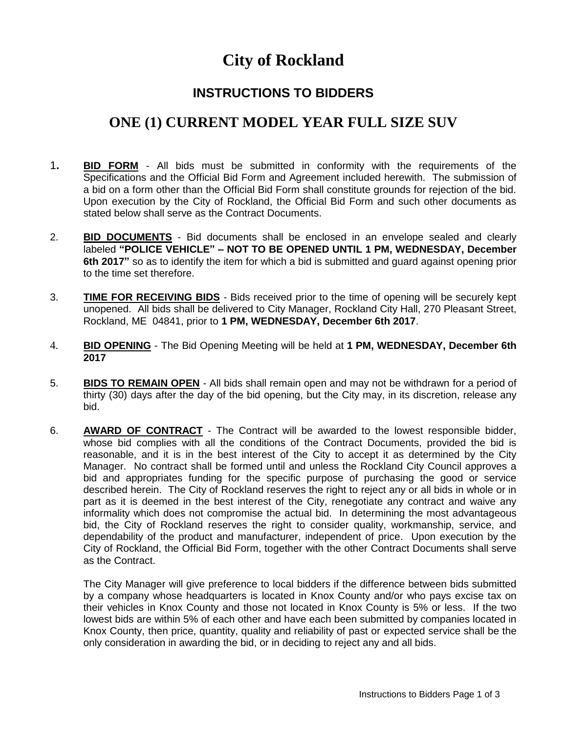## **City of Rockland**

## **INSTRUCTIONS TO BIDDERS**

## **ONE (1) CURRENT MODEL YEAR FULL SIZE SUV**

- 1**. BID FORM** All bids must be submitted in conformity with the requirements of the Specifications and the Official Bid Form and Agreement included herewith. The submission of a bid on a form other than the Official Bid Form shall constitute grounds for rejection of the bid. Upon execution by the City of Rockland, the Official Bid Form and such other documents as stated below shall serve as the Contract Documents.
- 2. **BID DOCUMENTS** Bid documents shall be enclosed in an envelope sealed and clearly labeled **"POLICE VEHICLE" – NOT TO BE OPENED UNTIL 1 PM, WEDNESDAY, December 6th 2017"** so as to identify the item for which a bid is submitted and guard against opening prior to the time set therefore.
- 3. **TIME FOR RECEIVING BIDS** Bids received prior to the time of opening will be securely kept unopened. All bids shall be delivered to City Manager, Rockland City Hall, 270 Pleasant Street, Rockland, ME 04841, prior to **1 PM, WEDNESDAY, December 6th 2017**.
- 4. **BID OPENING** The Bid Opening Meeting will be held at **1 PM, WEDNESDAY, December 6th 2017**
- 5. **BIDS TO REMAIN OPEN** All bids shall remain open and may not be withdrawn for a period of thirty (30) days after the day of the bid opening, but the City may, in its discretion, release any bid.
- 6. **AWARD OF CONTRACT** The Contract will be awarded to the lowest responsible bidder, whose bid complies with all the conditions of the Contract Documents, provided the bid is reasonable, and it is in the best interest of the City to accept it as determined by the City Manager. No contract shall be formed until and unless the Rockland City Council approves a bid and appropriates funding for the specific purpose of purchasing the good or service described herein. The City of Rockland reserves the right to reject any or all bids in whole or in part as it is deemed in the best interest of the City, renegotiate any contract and waive any informality which does not compromise the actual bid. In determining the most advantageous bid, the City of Rockland reserves the right to consider quality, workmanship, service, and dependability of the product and manufacturer, independent of price. Upon execution by the City of Rockland, the Official Bid Form, together with the other Contract Documents shall serve as the Contract.

The City Manager will give preference to local bidders if the difference between bids submitted by a company whose headquarters is located in Knox County and/or who pays excise tax on their vehicles in Knox County and those not located in Knox County is 5% or less. If the two lowest bids are within 5% of each other and have each been submitted by companies located in Knox County, then price, quantity, quality and reliability of past or expected service shall be the only consideration in awarding the bid, or in deciding to reject any and all bids.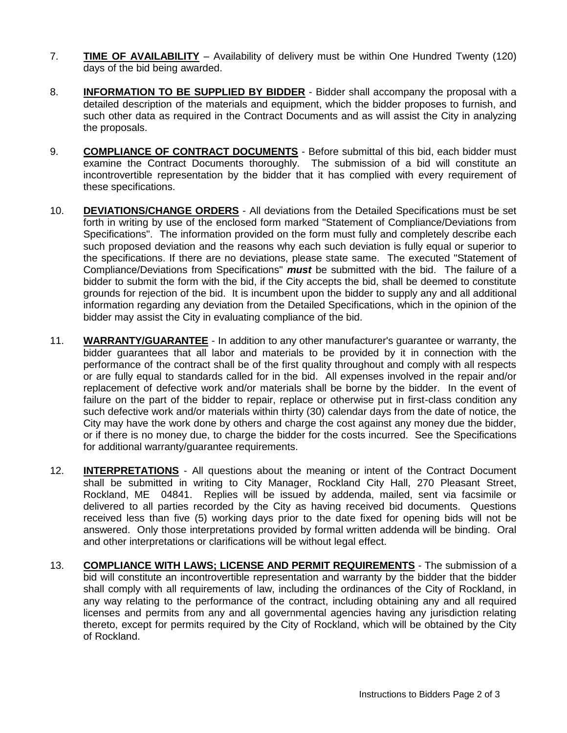- 7. **TIME OF AVAILABILITY** Availability of delivery must be within One Hundred Twenty (120) days of the bid being awarded.
- 8. **INFORMATION TO BE SUPPLIED BY BIDDER** Bidder shall accompany the proposal with a detailed description of the materials and equipment, which the bidder proposes to furnish, and such other data as required in the Contract Documents and as will assist the City in analyzing the proposals.
- 9. **COMPLIANCE OF CONTRACT DOCUMENTS** Before submittal of this bid, each bidder must examine the Contract Documents thoroughly. The submission of a bid will constitute an incontrovertible representation by the bidder that it has complied with every requirement of these specifications.
- 10. **DEVIATIONS/CHANGE ORDERS** All deviations from the Detailed Specifications must be set forth in writing by use of the enclosed form marked "Statement of Compliance/Deviations from Specifications". The information provided on the form must fully and completely describe each such proposed deviation and the reasons why each such deviation is fully equal or superior to the specifications. If there are no deviations, please state same. The executed "Statement of Compliance/Deviations from Specifications" *must* be submitted with the bid. The failure of a bidder to submit the form with the bid, if the City accepts the bid, shall be deemed to constitute grounds for rejection of the bid. It is incumbent upon the bidder to supply any and all additional information regarding any deviation from the Detailed Specifications, which in the opinion of the bidder may assist the City in evaluating compliance of the bid.
- 11. **WARRANTY/GUARANTEE** In addition to any other manufacturer's guarantee or warranty, the bidder guarantees that all labor and materials to be provided by it in connection with the performance of the contract shall be of the first quality throughout and comply with all respects or are fully equal to standards called for in the bid. All expenses involved in the repair and/or replacement of defective work and/or materials shall be borne by the bidder. In the event of failure on the part of the bidder to repair, replace or otherwise put in first-class condition any such defective work and/or materials within thirty (30) calendar days from the date of notice, the City may have the work done by others and charge the cost against any money due the bidder, or if there is no money due, to charge the bidder for the costs incurred. See the Specifications for additional warranty/guarantee requirements.
- 12. **INTERPRETATIONS** All questions about the meaning or intent of the Contract Document shall be submitted in writing to City Manager, Rockland City Hall, 270 Pleasant Street, Rockland, ME 04841. Replies will be issued by addenda, mailed, sent via facsimile or delivered to all parties recorded by the City as having received bid documents. Questions received less than five (5) working days prior to the date fixed for opening bids will not be answered. Only those interpretations provided by formal written addenda will be binding. Oral and other interpretations or clarifications will be without legal effect.
- 13. **COMPLIANCE WITH LAWS; LICENSE AND PERMIT REQUIREMENTS** The submission of a bid will constitute an incontrovertible representation and warranty by the bidder that the bidder shall comply with all requirements of law, including the ordinances of the City of Rockland, in any way relating to the performance of the contract, including obtaining any and all required licenses and permits from any and all governmental agencies having any jurisdiction relating thereto, except for permits required by the City of Rockland, which will be obtained by the City of Rockland.